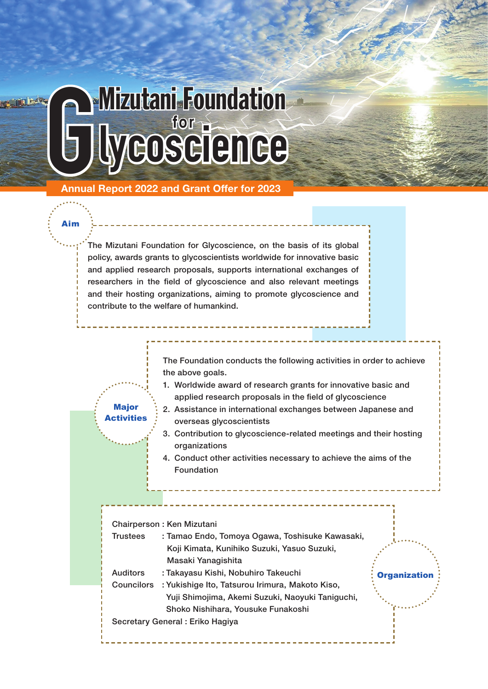# Mizutani Foundation **for**

Annual Report 2022 and Grant Offer for 2023

**Major Activities** 

Aim

The Mizutani Foundation for Glycoscience, on the basis of its global policy, awards grants to glycoscientists worldwide for innovative basic and applied research proposals, supports international exchanges of researchers in the field of glycoscience and also relevant meetings and their hosting organizations, aiming to promote glycoscience and contribute to the welfare of humankind.

> The Foundation conducts the following activities in order to achieve the above goals.

- 1. Worldwide award of research grants for innovative basic and applied research proposals in the field of glycoscience
- 2. Assistance in international exchanges between Japanese and overseas glycoscientists
- 3. Contribution to glycoscience-related meetings and their hosting organizations
- 4. Conduct other activities necessary to achieve the aims of the Foundation

Chairperson : Ken Mizutani Trustees : Tamao Endo, Tomoya Ogawa, Toshisuke Kawasaki, Koji Kimata, Kunihiko Suzuki, Yasuo Suzuki, Masaki Yanagishita Auditors : Takayasu Kishi, Nobuhiro Takeuchi Councilors : Yukishige Ito, Tatsurou Irimura, Makoto Kiso, Yuji Shimojima, Akemi Suzuki, Naoyuki Taniguchi, Shoko Nishihara, Yousuke Funakoshi Secretary General : Eriko Hagiya **Organization**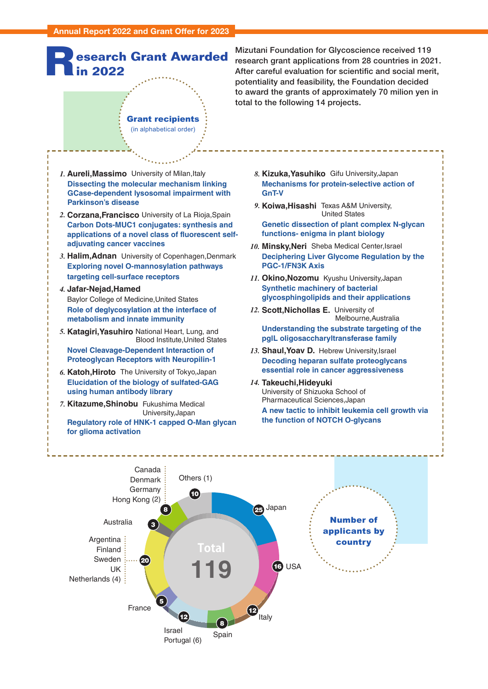

Mizutani Foundation for Glycoscience received 119 research grant applications from 28 countries in 2021. After careful evaluation for scientific and social merit, potentiality and feasibility, the Foundation decided to award the grants of approximately 70 milion yen in total to the following 14 projects.

*1.* **Aureli,Massimo** University of Milan,Italy  **Dissecting the molecular mechanism linking GCase-dependent lysosomal impairment with Parkinson's disease**

Grant recipients (in alphabetical order)

- *2.* **Corzana,Francisco** University of La Rioja,Spain **Carbon Dots-MUC1 conjugates: synthesis and applications of a novel class of fluorescent selfadjuvating cancer vaccines**
- *3.* **Halim,Adnan** University of Copenhagen,Denmark  **Exploring novel O-mannosylation pathways targeting cell-surface receptors**
- *4.* **Jafar-Nejad,Hamed** Baylor College of Medicine,United States **Role of deglycosylation at the interface of metabolism and innate immunity**
- *5.* **Katagiri,Yasuhiro** National Heart, Lung, and Blood Institute,United States **Novel Cleavage-Dependent Interaction of Proteoglycan Receptors with Neuropilin-1**
- *6.* **Katoh,Hiroto** The University of Tokyo,Japan **Elucidation of the biology of sulfated-GAG using human antibody library**
- *7.* **Kitazume,Shinobu** Fukushima Medical University,Japan

 **Regulatory role of HNK-1 capped O-Man glycan for glioma activation**

- *8.* **Kizuka,Yasuhiko** Gifu University,Japan **Mechanisms for protein-selective action of GnT-V**
- *9.* **Koiwa,Hisashi** Texas A&M University, United States

**Genetic dissection of plant complex N-glycan functions- enigma in plant biology**

- *10.* **Minsky,Neri** Sheba Medical Center,Israel **Deciphering Liver Glycome Regulation by the PGC-1/FN3K Axis**
- *11.* **Okino,Nozomu** Kyushu University,Japan **Synthetic machinery of bacterial glycosphingolipids and their applications**
- *12.* **Scott,Nichollas E.** University of Melbourne,Australia

**Understanding the substrate targeting of the pglL oligosaccharyltransferase family**

- *13.* **Shaul,Yoav D.** Hebrew University,Israel **Decoding heparan sulfate proteoglycans essential role in cancer aggressiveness**
- *14.* **Takeuchi,Hideyuki**  University of Shizuoka School of Pharmaceutical Sciences,Japan

**A new tactic to inhibit leukemia cell growth via the function of NOTCH O-glycans**

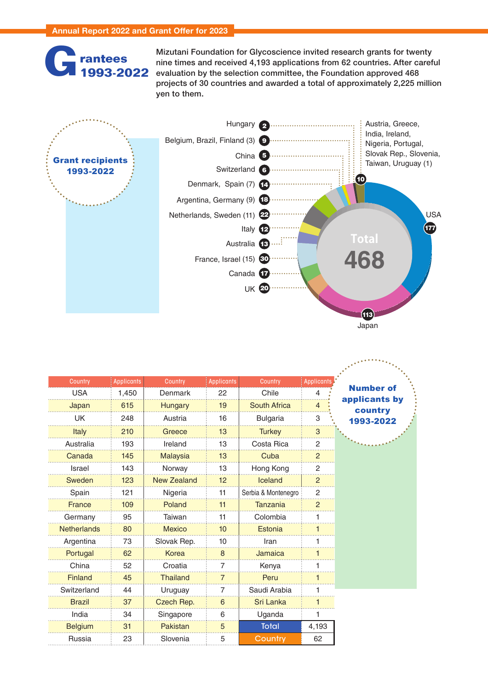### **G rantees G1993-2022**

Mizutani Foundation for Glycoscience invited research grants for twenty nine times and received 4,193 applications from 62 countries. After careful evaluation by the selection committee, the Foundation approved 468 projects of 30 countries and awarded a total of approximately 2,225 million yen to them.

**Continued** 



| Country            | <b>Applicants</b> | Country            | <b>Applicants</b> | Country             | Applicant:     |                          |
|--------------------|-------------------|--------------------|-------------------|---------------------|----------------|--------------------------|
| <b>USA</b>         | 1,450             | Denmark            | 22                | Chile               | 4              | <b>Number of</b>         |
| Japan              | 615               | <b>Hungary</b>     | 19                | <b>South Africa</b> | $\overline{4}$ | applicants by<br>country |
| UK                 | 248               | Austria            | 16                | <b>Bulgaria</b>     | 3              | 1993-2022                |
| Italy              | 210               | Greece             | 13                | <b>Turkey</b>       | $\sqrt{3}$     |                          |
| Australia          | 193               | Ireland            | 13                | Costa Rica          | 2              |                          |
| Canada             | 145               | <b>Malaysia</b>    | 13                | Cuba                | $\overline{2}$ |                          |
| <b>Israel</b>      | 143               | Norway             | 13                | Hong Kong           | $\overline{2}$ |                          |
| Sweden             | 123               | <b>New Zealand</b> | 12                | Iceland             | $\overline{2}$ |                          |
| Spain              | 121               | Nigeria            | 11                | Serbia & Montenegro | $\overline{2}$ |                          |
| <b>France</b>      | 109               | Poland             | 11                | <b>Tanzania</b>     | $\overline{2}$ |                          |
| Germany            | 95                | Taiwan             | 11                | Colombia            |                |                          |
| <b>Netherlands</b> | 80                | <b>Mexico</b>      | 10                | Estonia             |                |                          |
| Argentina          | 73                | Slovak Rep.        | 10                | Iran                |                |                          |
| Portugal           | 62                | Korea              | 8                 | <b>Jamaica</b>      |                |                          |
| China              | 52                | Croatia            | 7                 | Kenya               |                |                          |
| Finland            | 45                | <b>Thailand</b>    | $\overline{7}$    | Peru                |                |                          |
| Switzerland        | 44                | Uruguay            | 7                 | Saudi Arabia        |                |                          |
| <b>Brazil</b>      | 37                | Czech Rep.         | 6                 | Sri Lanka           |                |                          |
| India              | 34                | Singapore          | 6                 | Uganda              |                |                          |
| <b>Belgium</b>     | 31                | Pakistan           | 5                 | <b>Total</b>        | 4,193          |                          |
| Russia             | 23                | Slovenia           | 5                 | Country             | 62             |                          |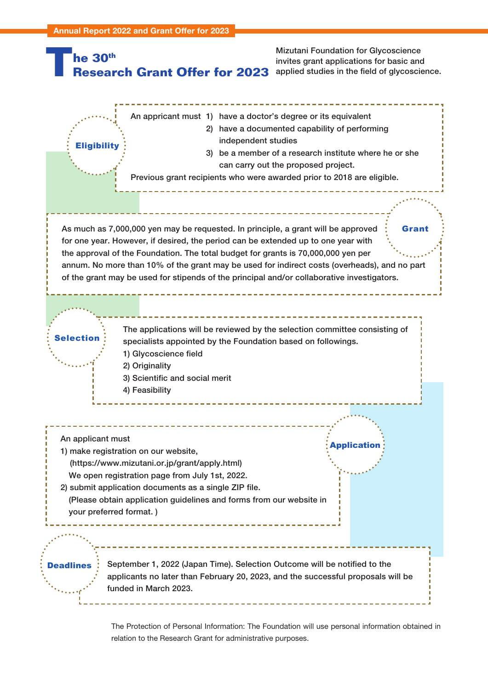

The Protection of Personal Information: The Foundation will use personal information obtained in relation to the Research Grant for administrative purposes.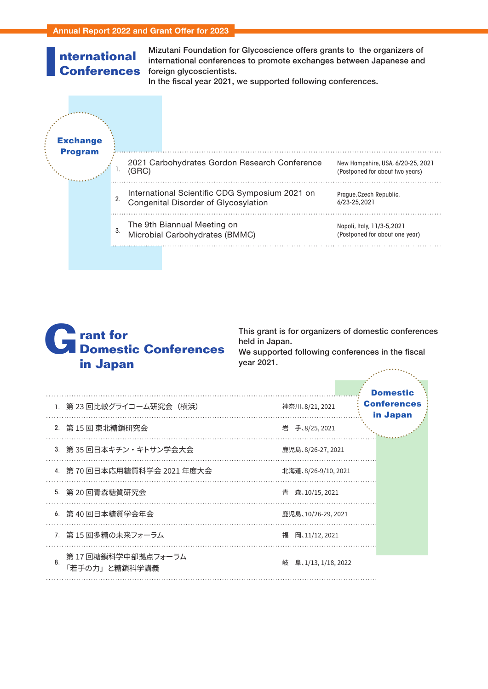#### **nternational Conferences I**

**INITERNIA MINICE MIXEL MIZUTANI Foundation for Glycoscience offers grants to the organizers of<br>
<b>Gonferences** foreign glycoscientists.<br>
In the fiscal year 2021, we supported following conferences. international conferences to promote exchanges between Japanese and foreign glycoscientists.

In the fiscal year 2021, we supported following conferences.

|  | <b>Exchange</b><br><b>Program</b> |    |       |                                                                                        |                                                                      |
|--|-----------------------------------|----|-------|----------------------------------------------------------------------------------------|----------------------------------------------------------------------|
|  |                                   |    | (GRC) | 2021 Carbohydrates Gordon Research Conference                                          | New Hampshire, USA, 6/20-25, 2021<br>(Postponed for about two years) |
|  |                                   | 2. |       | International Scientific CDG Symposium 2021 on<br>Congenital Disorder of Glycosylation | Prague, Czech Republic,<br>6/23-25.2021                              |
|  |                                   | 3. |       | The 9th Biannual Meeting on<br>Microbial Carbohydrates (BMMC)                          | Napoli, Italy, 11/3-5,2021<br>(Postponed for about one year)         |
|  |                                   |    |       |                                                                                        |                                                                      |



This grant is for organizers of domestic conferences held in Japan.

We supported following conferences in the fiscal year 2021. er andere gehandliche Statt der Statt der Statt der Statt der Statt der Statt der Statt der Statt der Statt d<br>Geskiedenis der Statt der Statt der Statt der Statt der Statt des Statt des Statt des Statt des Statt des Stat

|    | 1. 第 23 回比較グライコーム研究会(横浜)             | 神奈川、8/21, 2021       | <b>Domestic</b><br><b>Conferences</b><br>in Japan |
|----|--------------------------------------|----------------------|---------------------------------------------------|
|    | 2. 第 15 回 東北糖鎖研究会                    | 岩 手、8/25, 2021       |                                                   |
|    | 3. 第35回日本キチン・キトサン学会大会                | 鹿児島、8/26-27, 2021    |                                                   |
|    | 4. 第 70 回日本応用糖質科学会 2021 年度大会         | 北海道、8/26-9/10, 2021  |                                                   |
|    | 5. 第 20 回青森糖質研究会                     | 青 森、10/15, 2021      |                                                   |
|    | 6. 第40回日本糖質学会年会                      | 鹿児島、10/26-29、2021    |                                                   |
|    | 7. 第15回多糖の未来フォーラム                    | 福 岡、11/12, 2021      |                                                   |
| 8. | 第 17 回糖鎖科学中部拠点フォーラム<br>「若手の力」と糖鎖科学講義 | 岐 阜、1/13, 1/18, 2022 |                                                   |